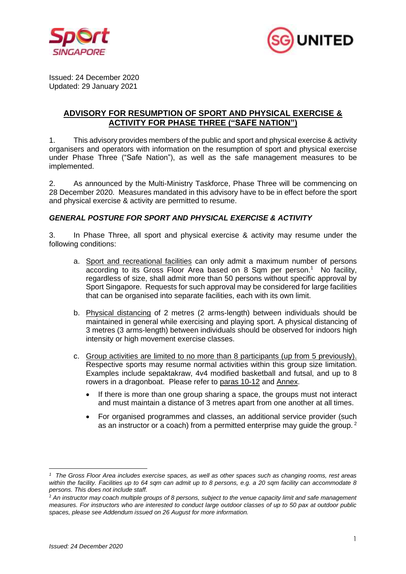



Issued: 24 December 2020 Updated: 29 January 2021

# **ADVISORY FOR RESUMPTION OF SPORT AND PHYSICAL EXERCISE & ACTIVITY FOR PHASE THREE ("SAFE NATION")**

1. This advisory provides members of the public and sport and physical exercise & activity organisers and operators with information on the resumption of sport and physical exercise under Phase Three ("Safe Nation"), as well as the safe management measures to be implemented.

2. As announced by the Multi-Ministry Taskforce, Phase Three will be commencing on 28 December 2020. Measures mandated in this advisory have to be in effect before the sport and physical exercise & activity are permitted to resume.

## *GENERAL POSTURE FOR SPORT AND PHYSICAL EXERCISE & ACTIVITY*

3. In Phase Three, all sport and physical exercise & activity may resume under the following conditions:

- a. Sport and recreational facilities can only admit a maximum number of persons according to its Gross Floor Area based on 8 Sqm per person.<sup>1</sup> No facility, regardless of size, shall admit more than 50 persons without specific approval by Sport Singapore. Requests for such approval may be considered for large facilities that can be organised into separate facilities, each with its own limit.
- b. Physical distancing of 2 metres (2 arms-length) between individuals should be maintained in general while exercising and playing sport. A physical distancing of 3 metres (3 arms-length) between individuals should be observed for indoors high intensity or high movement exercise classes.
- c. Group activities are limited to no more than 8 participants (up from 5 previously). Respective sports may resume normal activities within this group size limitation. Examples include sepaktakraw, 4v4 modified basketball and futsal, and up to 8 rowers in a dragonboat. Please refer to paras 10-12 and Annex.
	- If there is more than one group sharing a space, the groups must not interact and must maintain a distance of 3 metres apart from one another at all times.
	- For organised programmes and classes, an additional service provider (such as an instructor or a coach) from a permitted enterprise may guide the group.  $2$

*<sup>1</sup> The Gross Floor Area includes exercise spaces, as well as other spaces such as changing rooms, rest areas within the facility. Facilities up to 64 sqm can admit up to 8 persons, e.g. a 20 sqm facility can accommodate 8 persons. This does not include staff.* 

<sup>2</sup> *An instructor may coach multiple groups of 8 persons, subject to the venue capacity limit and safe management measures. For instructors who are interested to conduct large outdoor classes of up to 50 pax at outdoor public spaces, please see Addendum issued on 26 August for more information.*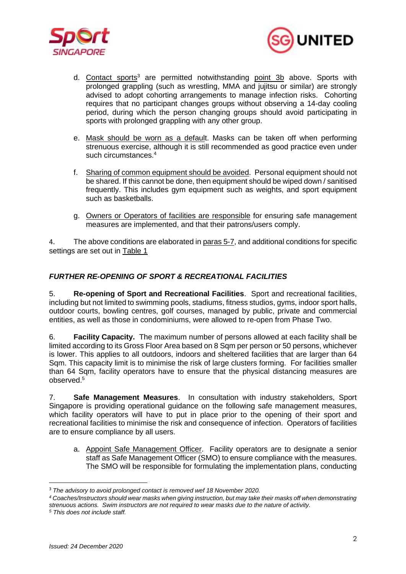



- d. Contact sports<sup>3</sup> are permitted notwithstanding point 3b above. Sports with prolonged grappling (such as wrestling, MMA and jujitsu or similar) are strongly advised to adopt cohorting arrangements to manage infection risks. Cohorting requires that no participant changes groups without observing a 14-day cooling period, during which the person changing groups should avoid participating in sports with prolonged grappling with any other group.
- e. Mask should be worn as a default. Masks can be taken off when performing strenuous exercise, although it is still recommended as good practice even under such circumstances. 4
- f. Sharing of common equipment should be avoided. Personal equipment should not be shared. If this cannot be done, then equipment should be wiped down / sanitised frequently. This includes gym equipment such as weights, and sport equipment such as basketballs.
- g. Owners or Operators of facilities are responsible for ensuring safe management measures are implemented, and that their patrons/users comply.

4. The above conditions are elaborated in paras 5-7, and additional conditions for specific settings are set out in Table 1

# *FURTHER RE-OPENING OF SPORT & RECREATIONAL FACILITIES*

5. **Re-opening of Sport and Recreational Facilities**. Sport and recreational facilities, including but not limited to swimming pools, stadiums, fitness studios, gyms, indoor sport halls, outdoor courts, bowling centres, golf courses, managed by public, private and commercial entities, as well as those in condominiums, were allowed to re-open from Phase Two.

6. **Facility Capacity.** The maximum number of persons allowed at each facility shall be limited according to its Gross Floor Area based on 8 Sqm per person or 50 persons, whichever is lower. This applies to all outdoors, indoors and sheltered facilities that are larger than 64 Sqm. This capacity limit is to minimise the risk of large clusters forming. For facilities smaller than 64 Sqm, facility operators have to ensure that the physical distancing measures are observed. 5

7. **Safe Management Measures**. In consultation with industry stakeholders, Sport Singapore is providing operational guidance on the following safe management measures, which facility operators will have to put in place prior to the opening of their sport and recreational facilities to minimise the risk and consequence of infection. Operators of facilities are to ensure compliance by all users.

a. Appoint Safe Management Officer. Facility operators are to designate a senior staff as Safe Management Officer (SMO) to ensure compliance with the measures. The SMO will be responsible for formulating the implementation plans, conducting

<sup>3</sup> *The advisory to avoid prolonged contact is removed wef 18 November 2020.*

*<sup>4</sup> Coaches/Instructors should wear masks when giving instruction, but may take their masks off when demonstrating strenuous actions. Swim instructors are not required to wear masks due to the nature of activity.*

*<sup>5</sup> This does not include staff.*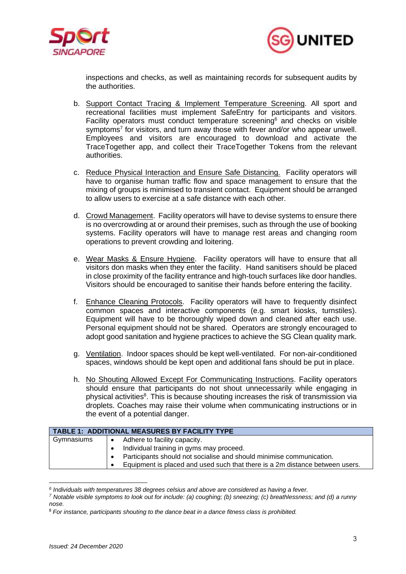



inspections and checks, as well as maintaining records for subsequent audits by the authorities.

- b. Support Contact Tracing & Implement Temperature Screening. All sport and recreational facilities must implement SafeEntry for participants and visitors. Facility operators must conduct temperature screening<sup>6</sup> and checks on visible symptoms<sup>7</sup> for visitors, and turn away those with fever and/or who appear unwell. Employees and visitors are encouraged to download and activate the TraceTogether app, and collect their TraceTogether Tokens from the relevant authorities.
- c. Reduce Physical Interaction and Ensure Safe Distancing. Facility operators will have to organise human traffic flow and space management to ensure that the mixing of groups is minimised to transient contact. Equipment should be arranged to allow users to exercise at a safe distance with each other.
- d. Crowd Management. Facility operators will have to devise systems to ensure there is no overcrowding at or around their premises, such as through the use of booking systems. Facility operators will have to manage rest areas and changing room operations to prevent crowding and loitering.
- e. Wear Masks & Ensure Hygiene. Facility operators will have to ensure that all visitors don masks when they enter the facility. Hand sanitisers should be placed in close proximity of the facility entrance and high-touch surfaces like door handles. Visitors should be encouraged to sanitise their hands before entering the facility.
- f. Enhance Cleaning Protocols. Facility operators will have to frequently disinfect common spaces and interactive components (e.g. smart kiosks, turnstiles). Equipment will have to be thoroughly wiped down and cleaned after each use. Personal equipment should not be shared. Operators are strongly encouraged to adopt good sanitation and hygiene practices to achieve the SG Clean quality mark.
- g. Ventilation. Indoor spaces should be kept well-ventilated. For non-air-conditioned spaces, windows should be kept open and additional fans should be put in place.
- h. No Shouting Allowed Except For Communicating Instructions. Facility operators should ensure that participants do not shout unnecessarily while engaging in physical activities<sup>8</sup>. This is because shouting increases the risk of transmission via droplets. Coaches may raise their volume when communicating instructions or in the event of a potential danger.

| <b>TABLE 1: ADDITIONAL MEASURES BY FACILITY TYPE</b> |                                                                              |
|------------------------------------------------------|------------------------------------------------------------------------------|
| Gymnasiums                                           | Adhere to facility capacity.<br>$\bullet$                                    |
|                                                      | Individual training in gyms may proceed.                                     |
|                                                      | Participants should not socialise and should minimise communication.         |
|                                                      | Equipment is placed and used such that there is a 2m distance between users. |

*<sup>6</sup> Individuals with temperatures 38 degrees celsius and above are considered as having a fever.*

*<sup>7</sup> Notable visible symptoms to look out for include: (a) coughing; (b) sneezing; (c) breathlessness; and (d) a runny nose.*

<sup>8</sup> *For instance, participants shouting to the dance beat in a dance fitness class is prohibited.*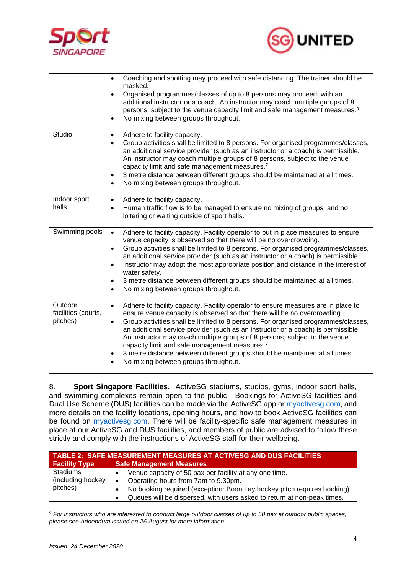



|                                            | Coaching and spotting may proceed with safe distancing. The trainer should be<br>$\bullet$<br>masked.<br>Organised programmes/classes of up to 8 persons may proceed, with an<br>$\bullet$<br>additional instructor or a coach. An instructor may coach multiple groups of 8<br>persons, subject to the venue capacity limit and safe management measures. <sup>9</sup><br>No mixing between groups throughout.<br>$\bullet$                                                                                                                                                                                                                                   |
|--------------------------------------------|----------------------------------------------------------------------------------------------------------------------------------------------------------------------------------------------------------------------------------------------------------------------------------------------------------------------------------------------------------------------------------------------------------------------------------------------------------------------------------------------------------------------------------------------------------------------------------------------------------------------------------------------------------------|
| Studio                                     | Adhere to facility capacity.<br>$\bullet$<br>Group activities shall be limited to 8 persons. For organised programmes/classes,<br>$\bullet$<br>an additional service provider (such as an instructor or a coach) is permissible.<br>An instructor may coach multiple groups of 8 persons, subject to the venue<br>capacity limit and safe management measures. <sup>7</sup><br>3 metre distance between different groups should be maintained at all times.<br>$\bullet$<br>No mixing between groups throughout.<br>$\bullet$                                                                                                                                  |
| Indoor sport<br>halls                      | Adhere to facility capacity.<br>$\bullet$<br>Human traffic flow is to be managed to ensure no mixing of groups, and no<br>$\bullet$<br>loitering or waiting outside of sport halls.                                                                                                                                                                                                                                                                                                                                                                                                                                                                            |
| Swimming pools                             | Adhere to facility capacity. Facility operator to put in place measures to ensure<br>$\bullet$<br>venue capacity is observed so that there will be no overcrowding.<br>Group activities shall be limited to 8 persons. For organised programmes/classes,<br>$\bullet$<br>an additional service provider (such as an instructor or a coach) is permissible.<br>Instructor may adopt the most appropriate position and distance in the interest of<br>$\bullet$<br>water safety.<br>3 metre distance between different groups should be maintained at all times.<br>$\bullet$<br>No mixing between groups throughout.<br>$\bullet$                               |
| Outdoor<br>facilities (courts,<br>pitches) | Adhere to facility capacity. Facility operator to ensure measures are in place to<br>$\bullet$<br>ensure venue capacity is observed so that there will be no overcrowding.<br>Group activities shall be limited to 8 persons. For organised programmes/classes,<br>$\bullet$<br>an additional service provider (such as an instructor or a coach) is permissible.<br>An instructor may coach multiple groups of 8 persons, subject to the venue<br>capacity limit and safe management measures. <sup>7</sup><br>3 metre distance between different groups should be maintained at all times.<br>$\bullet$<br>No mixing between groups throughout.<br>$\bullet$ |

8. **Sport Singapore Facilities.** ActiveSG stadiums, studios, gyms, indoor sport halls, and swimming complexes remain open to the public. Bookings for ActiveSG facilities and Dual Use Scheme (DUS) facilities can be made via the ActiveSG app or *myactivesg.com*, and more details on the facility locations, opening hours, and how to book ActiveSG facilities can be found on [myactivesg.com.](https://www.myactivesg.com/) There will be facility-specific safe management measures in place at our ActiveSG and DUS facilities, and members of public are advised to follow these strictly and comply with the instructions of ActiveSG staff for their wellbeing.

| <b>TABLE 2: SAFE MEASUREMENT MEASURES AT ACTIVESG AND DUS FACILITIES</b> |                                                                                                                                                    |  |
|--------------------------------------------------------------------------|----------------------------------------------------------------------------------------------------------------------------------------------------|--|
| <b>Facility Type</b>                                                     | <b>Safe Management Measures</b>                                                                                                                    |  |
| Stadiums<br>(including hockey                                            | Venue capacity of 50 pax per facility at any one time.<br>Operating hours from 7am to 9.30pm.                                                      |  |
| pitches)                                                                 | No booking required (exception: Boon Lay hockey pitch requires booking)<br>Queues will be dispersed, with users asked to return at non-peak times. |  |

*<sup>9</sup> For instructors who are interested to conduct large outdoor classes of up to 50 pax at outdoor public spaces, please see Addendum issued on 26 August for more information.*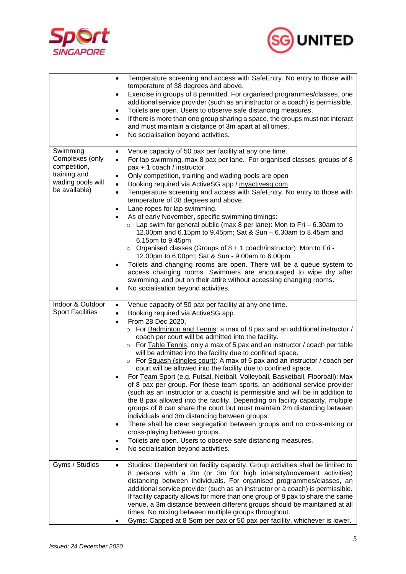



|                                                                                                   | Temperature screening and access with SafeEntry. No entry to those with<br>$\bullet$<br>temperature of 38 degrees and above.<br>Exercise in groups of 8 permitted. For organised programmes/classes, one<br>$\bullet$<br>additional service provider (such as an instructor or a coach) is permissible.<br>Toilets are open. Users to observe safe distancing measures.<br>$\bullet$<br>If there is more than one group sharing a space, the groups must not interact<br>۰<br>and must maintain a distance of 3m apart at all times.<br>No socialisation beyond activities.<br>$\bullet$                                                                                                                                                                                                                                                                                                                                                                                                                                                                                                                                                                                                                                                                                                                                    |
|---------------------------------------------------------------------------------------------------|-----------------------------------------------------------------------------------------------------------------------------------------------------------------------------------------------------------------------------------------------------------------------------------------------------------------------------------------------------------------------------------------------------------------------------------------------------------------------------------------------------------------------------------------------------------------------------------------------------------------------------------------------------------------------------------------------------------------------------------------------------------------------------------------------------------------------------------------------------------------------------------------------------------------------------------------------------------------------------------------------------------------------------------------------------------------------------------------------------------------------------------------------------------------------------------------------------------------------------------------------------------------------------------------------------------------------------|
| Swimming<br>Complexes (only<br>competition,<br>training and<br>wading pools will<br>be available) | Venue capacity of 50 pax per facility at any one time.<br>$\bullet$<br>For lap swimming, max 8 pax per lane. For organised classes, groups of 8<br>$\bullet$<br>pax + 1 coach / instructor.<br>Only competition, training and wading pools are open<br>$\bullet$<br>Booking required via ActiveSG app / myactivesg.com.<br>$\bullet$<br>Temperature screening and access with SafeEntry. No entry to those with<br>$\bullet$<br>temperature of 38 degrees and above.<br>Lane ropes for lap swimming.<br>$\bullet$<br>As of early November, specific swimming timings:<br>$\circ$ Lap swim for general public (max 8 per lane): Mon to Fri - 6.30am to<br>12.00pm and 6.15pm to 9.45pm; Sat & Sun - 6.30am to 8.45am and<br>6.15pm to 9.45pm<br>$\circ$ Organised classes (Groups of 8 + 1 coach/instructor): Mon to Fri -<br>12.00pm to 6.00pm; Sat & Sun - 9.00am to 6.00pm<br>Toilets and changing rooms are open. There will be a queue system to<br>$\bullet$<br>access changing rooms. Swimmers are encouraged to wipe dry after<br>swimming, and put on their attire without accessing changing rooms.<br>No socialisation beyond activities.<br>$\bullet$                                                                                                                                                            |
| Indoor & Outdoor<br><b>Sport Facilities</b>                                                       | Venue capacity of 50 pax per facility at any one time.<br>$\bullet$<br>Booking required via ActiveSG app.<br>$\bullet$<br>From 28 Dec 2020,<br>$\bullet$<br>For Badminton and Tennis: a max of 8 pax and an additional instructor /<br>$\circ$<br>coach per court will be admitted into the facility.<br>o For Table Tennis: only a max of 5 pax and an instructor / coach per table<br>will be admitted into the facility due to confined space.<br>$\circ$ For Squash (singles court): A max of 5 pax and an instructor / coach per<br>court will be allowed into the facility due to confined space.<br>For Team Sport (e.g. Futsal, Netball, Volleyball, Basketball, Floorball): Max<br>of 8 pax per group. For these team sports, an additional service provider<br>(such as an instructor or a coach) is permissible and will be in addition to<br>the 8 pax allowed into the facility. Depending on facility capacity, multiple<br>groups of 8 can share the court but must maintain 2m distancing between<br>individuals and 3m distancing between groups.<br>There shall be clear segregation between groups and no cross-mixing or<br>$\bullet$<br>cross-playing between groups.<br>Toilets are open. Users to observe safe distancing measures.<br>$\bullet$<br>No socialisation beyond activities.<br>$\bullet$ |
| Gyms / Studios                                                                                    | Studios: Dependent on facility capacity. Group activities shall be limited to<br>$\bullet$<br>8 persons with a 2m (or 3m for high intensity/movement activities)<br>distancing between individuals. For organised programmes/classes, an<br>additional service provider (such as an instructor or a coach) is permissible.<br>If facility capacity allows for more than one group of 8 pax to share the same<br>venue, a 3m distance between different groups should be maintained at all<br>times. No mixing between multiple groups throughout.<br>Gyms: Capped at 8 Sqm per pax or 50 pax per facility, whichever is lower.                                                                                                                                                                                                                                                                                                                                                                                                                                                                                                                                                                                                                                                                                              |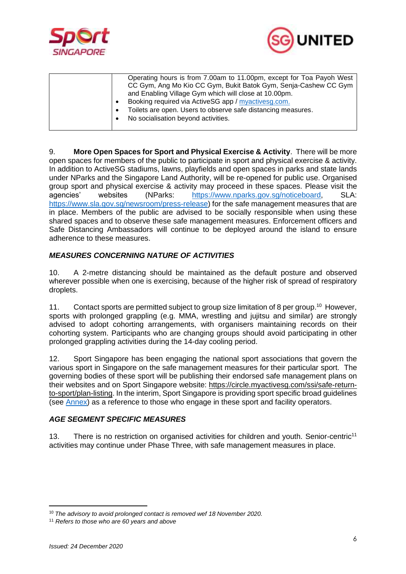



| No socialisation beyond activities. |  |  | Operating hours is from 7.00am to 11.00pm, except for Toa Payoh West<br>CC Gym, Ang Mo Kio CC Gym, Bukit Batok Gym, Senja-Cashew CC Gym<br>and Enabling Village Gym which will close at 10.00pm.<br>Booking required via ActiveSG app / myactivesg.com.<br>Toilets are open. Users to observe safe distancing measures. |
|-------------------------------------|--|--|-------------------------------------------------------------------------------------------------------------------------------------------------------------------------------------------------------------------------------------------------------------------------------------------------------------------------|
|-------------------------------------|--|--|-------------------------------------------------------------------------------------------------------------------------------------------------------------------------------------------------------------------------------------------------------------------------------------------------------------------------|

9. **More Open Spaces for Sport and Physical Exercise & Activity**. There will be more open spaces for members of the public to participate in sport and physical exercise & activity. In addition to ActiveSG stadiums, lawns, playfields and open spaces in parks and state lands under NParks and the Singapore Land Authority, will be re-opened for public use. Organised group sport and physical exercise & activity may proceed in these spaces. Please visit the agencies' websites (NParks: [https://www.nparks.gov.sg/noticeboard,](https://www.nparks.gov.sg/noticeboard) SLA: [https://www.sla.gov.sg/newsroom/press-release\)](https://www.sla.gov.sg/newsroom/press-release) for the safe management measures that are in place. Members of the public are advised to be socially responsible when using these shared spaces and to observe these safe management measures. Enforcement officers and Safe Distancing Ambassadors will continue to be deployed around the island to ensure adherence to these measures.

### *MEASURES CONCERNING NATURE OF ACTIVITIES*

10. A 2-metre distancing should be maintained as the default posture and observed wherever possible when one is exercising, because of the higher risk of spread of respiratory droplets.

11. Contact sports are permitted subject to group size limitation of 8 per group.<sup>10</sup> However, sports with prolonged grappling (e.g. MMA, wrestling and jujitsu and similar) are strongly advised to adopt cohorting arrangements, with organisers maintaining records on their cohorting system. Participants who are changing groups should avoid participating in other prolonged grappling activities during the 14-day cooling period.

12. Sport Singapore has been engaging the national sport associations that govern the various sport in Singapore on the safe management measures for their particular sport. The governing bodies of these sport will be publishing their endorsed safe management plans on their websites and on Sport Singapore website: [https://circle.myactivesg.com/ssi/safe-return](https://circle.myactivesg.com/ssi/safe-return-to-sport/plan-listing)[to-sport/plan-listing.](https://circle.myactivesg.com/ssi/safe-return-to-sport/plan-listing) In the interim, Sport Singapore is providing sport specific broad guidelines (see [Annex\)](https://www.sportsingapore.gov.sg/Newsroom/Media-Releases/2020/Annex%c2%a0For-Resumption-Of-Sport-And-Physical-Exercise-and-Activity-For-Phase-Two-Safe-Transition) as a reference to those who engage in these sport and facility operators.

#### *AGE SEGMENT SPECIFIC MEASURES*

13. There is no restriction on organised activities for children and youth. Senior-centric<sup>11</sup> activities may continue under Phase Three, with safe management measures in place.

<sup>10</sup> *The advisory to avoid prolonged contact is removed wef 18 November 2020.* 

<sup>11</sup> *Refers to those who are 60 years and above*